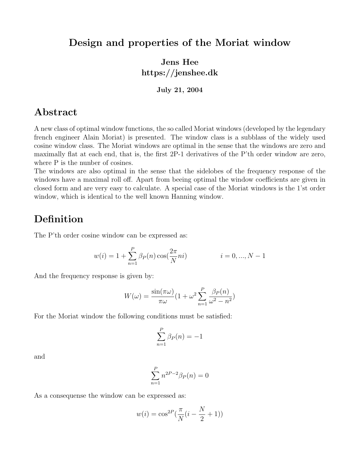#### Design and properties of the Moriat window

## Jens Hee https://jenshee.dk

#### July 21, 2004

#### Abstract

A new class of optimal window functions, the so called Moriat windows (developed by the legendary french engineer Alain Moriat) is presented. The window class is a subblass of the widely used cosine window class. The Moriat windows are optimal in the sense that the windows are zero and maximally flat at each end, that is, the first 2P-1 derivatives of the P'th order window are zero, where P is the number of cosines.

The windows are also optimal in the sense that the sidelobes of the frequency response of the windows have a maximal roll off. Apart from beeing optimal the window coefficients are given in closed form and are very easy to calculate. A special case of the Moriat windows is the 1'st order window, which is identical to the well known Hanning window.

#### Definition

The P'th order cosine window can be expressed as:

$$
w(i) = 1 + \sum_{n=1}^{P} \beta_P(n) \cos(\frac{2\pi}{N}ni)
$$
   
  $i = 0, ..., N - 1$ 

And the frequency response is given by:

$$
W(\omega) = \frac{\sin(\pi \omega)}{\pi \omega} (1 + \omega^2 \sum_{n=1}^P \frac{\beta_P(n)}{\omega^2 - n^2})
$$

For the Moriat window the following conditions must be satisfied:

$$
\sum_{n=1}^{P} \beta_P(n) = -1
$$

and

$$
\sum_{n=1}^{P} n^{2P-2} \beta_P(n) = 0
$$

As a consequense the window can be expressed as:

$$
w(i) = \cos^{2P}(\frac{\pi}{N}(i - \frac{N}{2} + 1))
$$